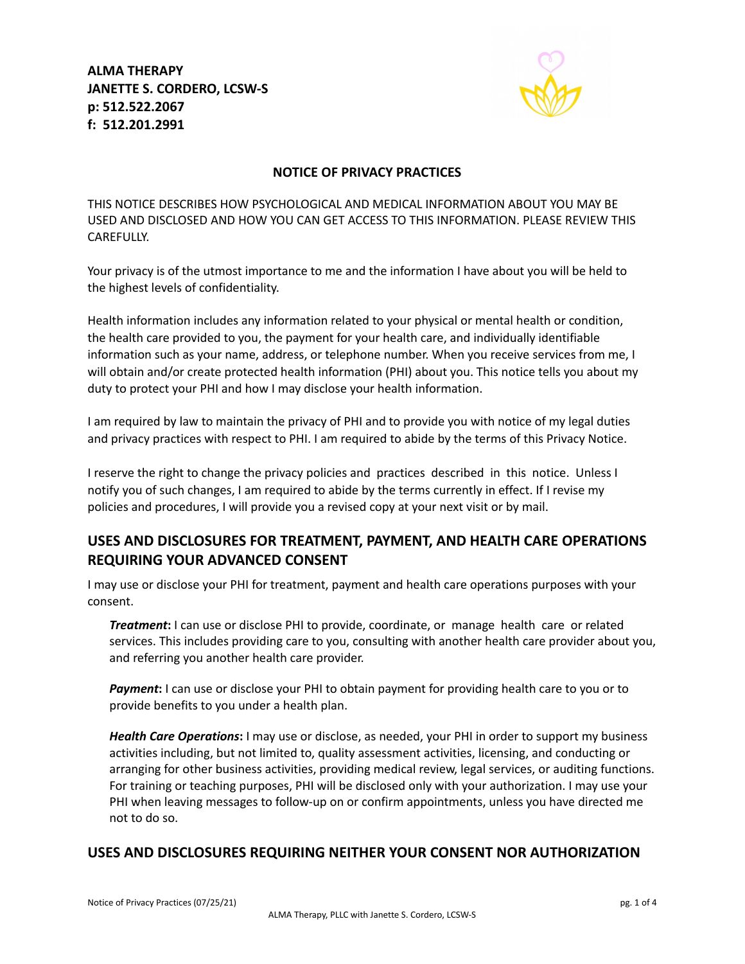**ALMA THERAPY JANETTE S. CORDERO, LCSW-S p: 512.522.2067 f: 512.201.2991**



#### **NOTICE OF PRIVACY PRACTICES**

THIS NOTICE DESCRIBES HOW PSYCHOLOGICAL AND MEDICAL INFORMATION ABOUT YOU MAY BE USED AND DISCLOSED AND HOW YOU CAN GET ACCESS TO THIS INFORMATION. PLEASE REVIEW THIS CAREFULLY.

Your privacy is of the utmost importance to me and the information I have about you will be held to the highest levels of confidentiality.

Health information includes any information related to your physical or mental health or condition, the health care provided to you, the payment for your health care, and individually identifiable information such as your name, address, or telephone number. When you receive services from me, I will obtain and/or create protected health information (PHI) about you. This notice tells you about my duty to protect your PHI and how I may disclose your health information.

I am required by law to maintain the privacy of PHI and to provide you with notice of my legal duties and privacy practices with respect to PHI. I am required to abide by the terms of this Privacy Notice.

I reserve the right to change the privacy policies and practices described in this notice. Unless I notify you of such changes, I am required to abide by the terms currently in effect. If I revise my policies and procedures, I will provide you a revised copy at your next visit or by mail.

## **USES AND DISCLOSURES FOR TREATMENT, PAYMENT, AND HEALTH CARE OPERATIONS REQUIRING YOUR ADVANCED CONSENT**

I may use or disclose your PHI for treatment, payment and health care operations purposes with your consent.

*Treatment***:** I can use or disclose PHI to provide, coordinate, or manage health care or related services. This includes providing care to you, consulting with another health care provider about you, and referring you another health care provider.

*Payment***:** I can use or disclose your PHI to obtain payment for providing health care to you or to provide benefits to you under a health plan.

*Health Care Operations***:** I may use or disclose, as needed, your PHI in order to support my business activities including, but not limited to, quality assessment activities, licensing, and conducting or arranging for other business activities, providing medical review, legal services, or auditing functions. For training or teaching purposes, PHI will be disclosed only with your authorization. I may use your PHI when leaving messages to follow-up on or confirm appointments, unless you have directed me not to do so.

## **USES AND DISCLOSURES REQUIRING NEITHER YOUR CONSENT NOR AUTHORIZATION**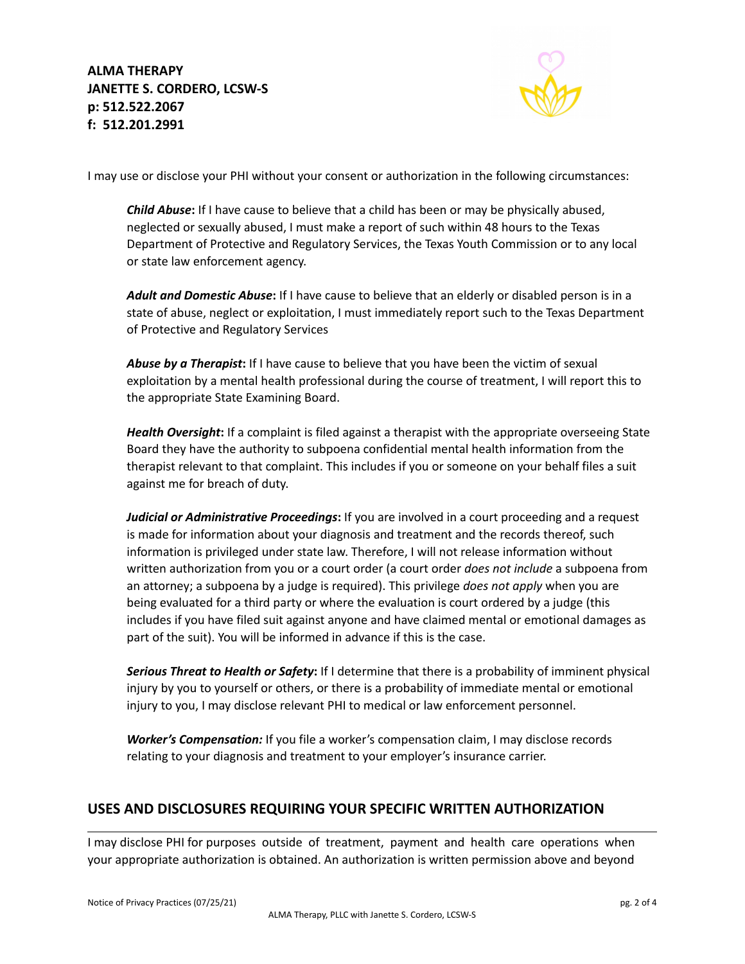

I may use or disclose your PHI without your consent or authorization in the following circumstances:

*Child Abuse***:** If I have cause to believe that a child has been or may be physically abused, neglected or sexually abused, I must make a report of such within 48 hours to the Texas Department of Protective and Regulatory Services, the Texas Youth Commission or to any local or state law enforcement agency.

*Adult and Domestic Abuse***:** If I have cause to believe that an elderly or disabled person is in a state of abuse, neglect or exploitation, I must immediately report such to the Texas Department of Protective and Regulatory Services

*Abuse by a Therapist***:** If I have cause to believe that you have been the victim of sexual exploitation by a mental health professional during the course of treatment, I will report this to the appropriate State Examining Board.

*Health Oversight***:** If a complaint is filed against a therapist with the appropriate overseeing State Board they have the authority to subpoena confidential mental health information from the therapist relevant to that complaint. This includes if you or someone on your behalf files a suit against me for breach of duty.

*Judicial or Administrative Proceedings***:** If you are involved in a court proceeding and a request is made for information about your diagnosis and treatment and the records thereof, such information is privileged under state law. Therefore, I will not release information without written authorization from you or a court order (a court order *does not include* a subpoena from an attorney; a subpoena by a judge is required). This privilege *does not apply* when you are being evaluated for a third party or where the evaluation is court ordered by a judge (this includes if you have filed suit against anyone and have claimed mental or emotional damages as part of the suit). You will be informed in advance if this is the case.

*Serious Threat to Health or Safety***:** If I determine that there is a probability of imminent physical injury by you to yourself or others, or there is a probability of immediate mental or emotional injury to you, I may disclose relevant PHI to medical or law enforcement personnel.

*Worker's Compensation:* If you file a worker's compensation claim, I may disclose records relating to your diagnosis and treatment to your employer's insurance carrier.

## **USES AND DISCLOSURES REQUIRING YOUR SPECIFIC WRITTEN AUTHORIZATION**

I may disclose PHI for purposes outside of treatment, payment and health care operations when your appropriate authorization is obtained. An authorization is written permission above and beyond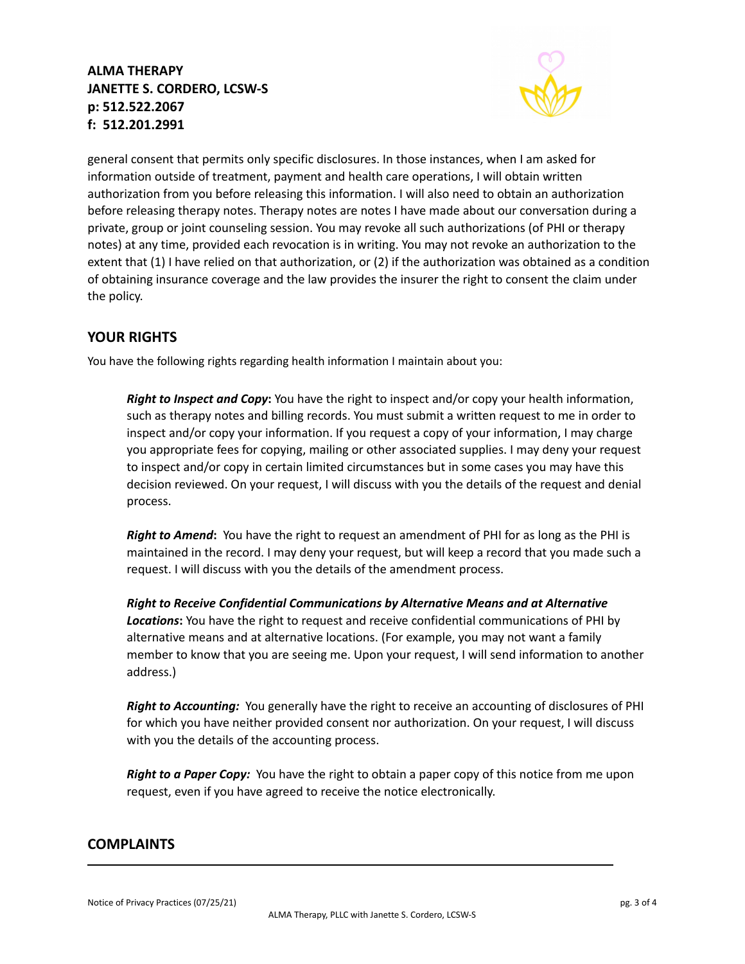# **ALMA THERAPY JANETTE S. CORDERO, LCSW-S p: 512.522.2067 f: 512.201.2991**



general consent that permits only specific disclosures. In those instances, when I am asked for information outside of treatment, payment and health care operations, I will obtain written authorization from you before releasing this information. I will also need to obtain an authorization before releasing therapy notes. Therapy notes are notes I have made about our conversation during a private, group or joint counseling session. You may revoke all such authorizations (of PHI or therapy notes) at any time, provided each revocation is in writing. You may not revoke an authorization to the extent that (1) I have relied on that authorization, or (2) if the authorization was obtained as a condition of obtaining insurance coverage and the law provides the insurer the right to consent the claim under the policy.

## **YOUR RIGHTS**

You have the following rights regarding health information I maintain about you:

*Right to Inspect and Copy***:** You have the right to inspect and/or copy your health information, such as therapy notes and billing records. You must submit a written request to me in order to inspect and/or copy your information. If you request a copy of your information, I may charge you appropriate fees for copying, mailing or other associated supplies. I may deny your request to inspect and/or copy in certain limited circumstances but in some cases you may have this decision reviewed. On your request, I will discuss with you the details of the request and denial process.

*Right to Amend***:** You have the right to request an amendment of PHI for as long as the PHI is maintained in the record. I may deny your request, but will keep a record that you made such a request. I will discuss with you the details of the amendment process.

*Right to Receive Confidential Communications by Alternative Means and at Alternative Locations***:** You have the right to request and receive confidential communications of PHI by alternative means and at alternative locations. (For example, you may not want a family member to know that you are seeing me. Upon your request, I will send information to another address.)

*Right to Accounting:* You generally have the right to receive an accounting of disclosures of PHI for which you have neither provided consent nor authorization. On your request, I will discuss with you the details of the accounting process.

*Right to a Paper Copy:* You have the right to obtain a paper copy of this notice from me upon request, even if you have agreed to receive the notice electronically.

### **COMPLAINTS**